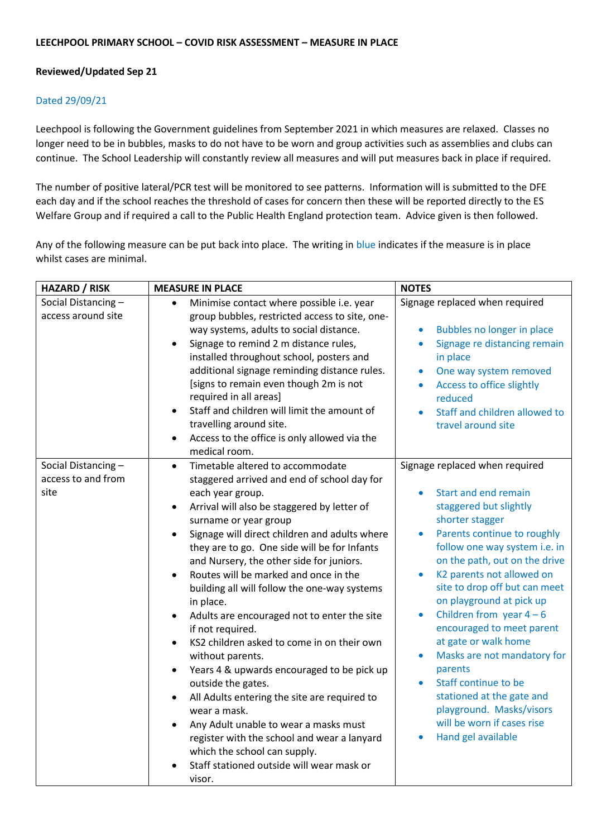## **Reviewed/Updated Sep 21**

## Dated 29/09/21

Leechpool is following the Government guidelines from September 2021 in which measures are relaxed. Classes no longer need to be in bubbles, masks to do not have to be worn and group activities such as assemblies and clubs can continue. The School Leadership will constantly review all measures and will put measures back in place if required.

The number of positive lateral/PCR test will be monitored to see patterns. Information will is submitted to the DFE each day and if the school reaches the threshold of cases for concern then these will be reported directly to the ES Welfare Group and if required a call to the Public Health England protection team. Advice given is then followed.

Any of the following measure can be put back into place. The writing in blue indicates if the measure is in place whilst cases are minimal.

| <b>HAZARD / RISK</b>                             | <b>MEASURE IN PLACE</b>                                                                                                                                                                                                                                                                                                                                                                                                                                                                                                                                                                                                                                                                                                                                                                                                                                                                                                                                 | <b>NOTES</b>                                                                                                                                                                                                                                                                                                                                                                                                                                                                                                                                                                                                                    |
|--------------------------------------------------|---------------------------------------------------------------------------------------------------------------------------------------------------------------------------------------------------------------------------------------------------------------------------------------------------------------------------------------------------------------------------------------------------------------------------------------------------------------------------------------------------------------------------------------------------------------------------------------------------------------------------------------------------------------------------------------------------------------------------------------------------------------------------------------------------------------------------------------------------------------------------------------------------------------------------------------------------------|---------------------------------------------------------------------------------------------------------------------------------------------------------------------------------------------------------------------------------------------------------------------------------------------------------------------------------------------------------------------------------------------------------------------------------------------------------------------------------------------------------------------------------------------------------------------------------------------------------------------------------|
| Social Distancing-<br>access around site         | Minimise contact where possible i.e. year<br>$\bullet$<br>group bubbles, restricted access to site, one-<br>way systems, adults to social distance.<br>Signage to remind 2 m distance rules,<br>installed throughout school, posters and<br>additional signage reminding distance rules.<br>[signs to remain even though 2m is not<br>required in all areas]<br>Staff and children will limit the amount of<br>travelling around site.<br>Access to the office is only allowed via the<br>medical room.                                                                                                                                                                                                                                                                                                                                                                                                                                                 | Signage replaced when required<br>Bubbles no longer in place<br>$\bullet$<br>Signage re distancing remain<br>٠<br>in place<br>One way system removed<br>$\bullet$<br>Access to office slightly<br>$\bullet$<br>reduced<br>Staff and children allowed to<br>$\bullet$<br>travel around site                                                                                                                                                                                                                                                                                                                                      |
| Social Distancing-<br>access to and from<br>site | Timetable altered to accommodate<br>$\bullet$<br>staggered arrived and end of school day for<br>each year group.<br>Arrival will also be staggered by letter of<br>$\bullet$<br>surname or year group<br>Signage will direct children and adults where<br>$\bullet$<br>they are to go. One side will be for Infants<br>and Nursery, the other side for juniors.<br>Routes will be marked and once in the<br>building all will follow the one-way systems<br>in place.<br>Adults are encouraged not to enter the site<br>if not required.<br>KS2 children asked to come in on their own<br>without parents.<br>Years 4 & upwards encouraged to be pick up<br>$\bullet$<br>outside the gates.<br>All Adults entering the site are required to<br>$\bullet$<br>wear a mask.<br>Any Adult unable to wear a masks must<br>register with the school and wear a lanyard<br>which the school can supply.<br>Staff stationed outside will wear mask or<br>visor. | Signage replaced when required<br>Start and end remain<br>staggered but slightly<br>shorter stagger<br>Parents continue to roughly<br>$\bullet$<br>follow one way system i.e. in<br>on the path, out on the drive<br>K2 parents not allowed on<br>$\bullet$<br>site to drop off but can meet<br>on playground at pick up<br>Children from year $4-6$<br>$\bullet$<br>encouraged to meet parent<br>at gate or walk home<br>Masks are not mandatory for<br>$\bullet$<br>parents<br>Staff continue to be<br>$\bullet$<br>stationed at the gate and<br>playground. Masks/visors<br>will be worn if cases rise<br>Hand gel available |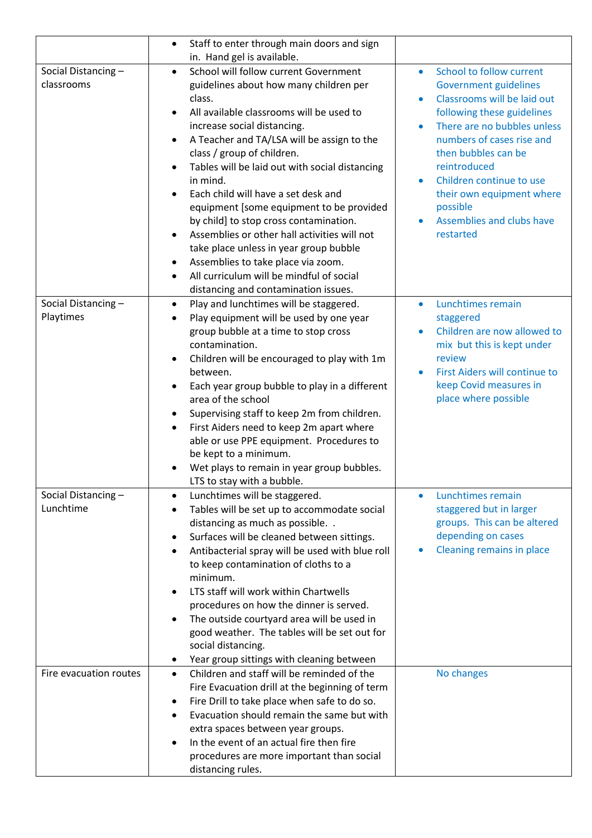|                                  | Staff to enter through main doors and sign<br>$\bullet$                                                                                                                                                                                                                                                                                                                                                                                                                                                                                                                                                                                                                                                                                  |                                                                                                                                                                                                                                                                                                                                                                                                          |
|----------------------------------|------------------------------------------------------------------------------------------------------------------------------------------------------------------------------------------------------------------------------------------------------------------------------------------------------------------------------------------------------------------------------------------------------------------------------------------------------------------------------------------------------------------------------------------------------------------------------------------------------------------------------------------------------------------------------------------------------------------------------------------|----------------------------------------------------------------------------------------------------------------------------------------------------------------------------------------------------------------------------------------------------------------------------------------------------------------------------------------------------------------------------------------------------------|
| Social Distancing-<br>classrooms | in. Hand gel is available.<br>School will follow current Government<br>$\bullet$<br>guidelines about how many children per<br>class.<br>All available classrooms will be used to<br>$\bullet$<br>increase social distancing.<br>A Teacher and TA/LSA will be assign to the<br>$\bullet$<br>class / group of children.<br>Tables will be laid out with social distancing<br>$\bullet$<br>in mind.<br>Each child will have a set desk and<br>equipment [some equipment to be provided<br>by child] to stop cross contamination.<br>Assemblies or other hall activities will not<br>$\bullet$<br>take place unless in year group bubble<br>Assemblies to take place via zoom.<br>٠<br>All curriculum will be mindful of social<br>$\bullet$ | School to follow current<br>$\bullet$<br><b>Government guidelines</b><br>Classrooms will be laid out<br>$\bullet$<br>following these guidelines<br>There are no bubbles unless<br>$\bullet$<br>numbers of cases rise and<br>then bubbles can be<br>reintroduced<br>Children continue to use<br>$\bullet$<br>their own equipment where<br>possible<br>Assemblies and clubs have<br>$\bullet$<br>restarted |
| Social Distancing-<br>Playtimes  | distancing and contamination issues.<br>Play and lunchtimes will be staggered.<br>$\bullet$<br>Play equipment will be used by one year<br>$\bullet$<br>group bubble at a time to stop cross<br>contamination.<br>Children will be encouraged to play with 1m<br>٠<br>between.<br>Each year group bubble to play in a different<br>area of the school<br>Supervising staff to keep 2m from children.<br>$\bullet$<br>First Aiders need to keep 2m apart where<br>$\bullet$<br>able or use PPE equipment. Procedures to<br>be kept to a minimum.<br>Wet plays to remain in year group bubbles.<br>LTS to stay with a bubble.                                                                                                               | Lunchtimes remain<br>٠<br>staggered<br>Children are now allowed to<br>$\bullet$<br>mix but this is kept under<br>review<br>First Aiders will continue to<br>$\bullet$<br>keep Covid measures in<br>place where possible                                                                                                                                                                                  |
| Social Distancing-<br>Lunchtime  | Lunchtimes will be staggered.<br>$\bullet$<br>Tables will be set up to accommodate social<br>$\bullet$<br>distancing as much as possible<br>Surfaces will be cleaned between sittings.<br>٠<br>Antibacterial spray will be used with blue roll<br>٠<br>to keep contamination of cloths to a<br>minimum.<br>LTS staff will work within Chartwells<br>$\bullet$<br>procedures on how the dinner is served.<br>The outside courtyard area will be used in<br>٠<br>good weather. The tables will be set out for<br>social distancing.<br>Year group sittings with cleaning between<br>٠                                                                                                                                                      | Lunchtimes remain<br>$\bullet$<br>staggered but in larger<br>groups. This can be altered<br>depending on cases<br>Cleaning remains in place                                                                                                                                                                                                                                                              |
| Fire evacuation routes           | Children and staff will be reminded of the<br>$\bullet$<br>Fire Evacuation drill at the beginning of term<br>Fire Drill to take place when safe to do so.<br>٠<br>Evacuation should remain the same but with<br>٠<br>extra spaces between year groups.<br>In the event of an actual fire then fire<br>$\bullet$<br>procedures are more important than social<br>distancing rules.                                                                                                                                                                                                                                                                                                                                                        | No changes                                                                                                                                                                                                                                                                                                                                                                                               |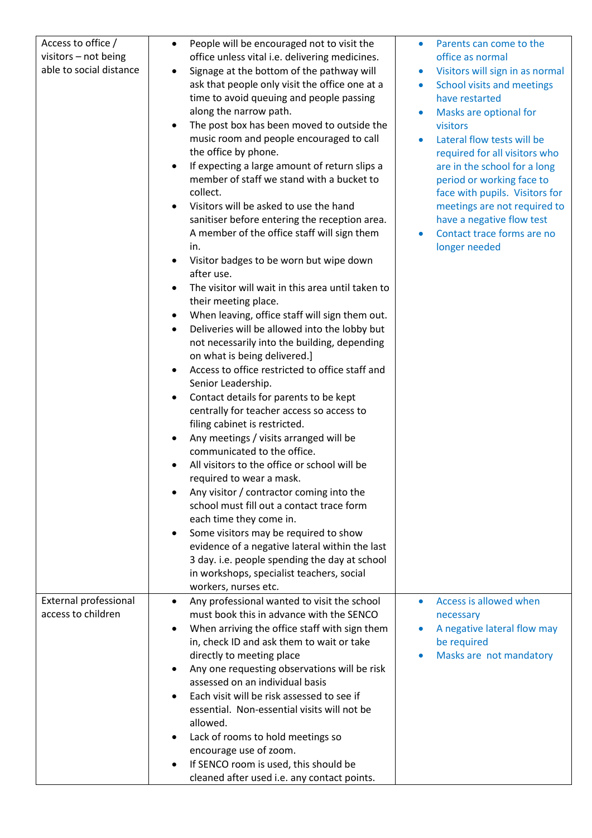| Access to office /                              | People will be encouraged not to visit the<br>$\bullet$                                     | Parents can come to the<br>$\bullet$                             |
|-------------------------------------------------|---------------------------------------------------------------------------------------------|------------------------------------------------------------------|
| visitors - not being<br>able to social distance | office unless vital i.e. delivering medicines.<br>Signage at the bottom of the pathway will | office as normal<br>Visitors will sign in as normal<br>$\bullet$ |
|                                                 | ask that people only visit the office one at a                                              | School visits and meetings<br>$\bullet$                          |
|                                                 | time to avoid queuing and people passing                                                    | have restarted                                                   |
|                                                 | along the narrow path.                                                                      | Masks are optional for                                           |
|                                                 | The post box has been moved to outside the                                                  | visitors                                                         |
|                                                 | music room and people encouraged to call                                                    | Lateral flow tests will be<br>$\bullet$                          |
|                                                 | the office by phone.                                                                        | required for all visitors who                                    |
|                                                 | If expecting a large amount of return slips a                                               | are in the school for a long                                     |
|                                                 | member of staff we stand with a bucket to<br>collect.                                       | period or working face to<br>face with pupils. Visitors for      |
|                                                 | Visitors will be asked to use the hand                                                      | meetings are not required to                                     |
|                                                 | sanitiser before entering the reception area.                                               | have a negative flow test                                        |
|                                                 | A member of the office staff will sign them                                                 | Contact trace forms are no<br>۰                                  |
|                                                 | in.                                                                                         | longer needed                                                    |
|                                                 | Visitor badges to be worn but wipe down<br>$\bullet$                                        |                                                                  |
|                                                 | after use.                                                                                  |                                                                  |
|                                                 | The visitor will wait in this area until taken to                                           |                                                                  |
|                                                 | their meeting place.                                                                        |                                                                  |
|                                                 | When leaving, office staff will sign them out.                                              |                                                                  |
|                                                 | Deliveries will be allowed into the lobby but                                               |                                                                  |
|                                                 | not necessarily into the building, depending                                                |                                                                  |
|                                                 | on what is being delivered.]                                                                |                                                                  |
|                                                 | Access to office restricted to office staff and<br>Senior Leadership.                       |                                                                  |
|                                                 | Contact details for parents to be kept<br>٠                                                 |                                                                  |
|                                                 | centrally for teacher access so access to                                                   |                                                                  |
|                                                 | filing cabinet is restricted.                                                               |                                                                  |
|                                                 | Any meetings / visits arranged will be                                                      |                                                                  |
|                                                 | communicated to the office.                                                                 |                                                                  |
|                                                 | All visitors to the office or school will be                                                |                                                                  |
|                                                 | required to wear a mask.                                                                    |                                                                  |
|                                                 | Any visitor / contractor coming into the                                                    |                                                                  |
|                                                 | school must fill out a contact trace form                                                   |                                                                  |
|                                                 | each time they come in.                                                                     |                                                                  |
|                                                 | Some visitors may be required to show                                                       |                                                                  |
|                                                 | evidence of a negative lateral within the last                                              |                                                                  |
|                                                 | 3 day. i.e. people spending the day at school<br>in workshops, specialist teachers, social  |                                                                  |
|                                                 | workers, nurses etc.                                                                        |                                                                  |
| External professional                           | Any professional wanted to visit the school<br>$\bullet$                                    | Access is allowed when                                           |
| access to children                              | must book this in advance with the SENCO                                                    | necessary                                                        |
|                                                 | When arriving the office staff with sign them                                               | A negative lateral flow may<br>$\bullet$                         |
|                                                 | in, check ID and ask them to wait or take                                                   | be required                                                      |
|                                                 | directly to meeting place                                                                   | Masks are not mandatory                                          |
|                                                 | Any one requesting observations will be risk                                                |                                                                  |
|                                                 | assessed on an individual basis                                                             |                                                                  |
|                                                 | Each visit will be risk assessed to see if                                                  |                                                                  |
|                                                 | essential. Non-essential visits will not be<br>allowed.                                     |                                                                  |
|                                                 | Lack of rooms to hold meetings so                                                           |                                                                  |
|                                                 | encourage use of zoom.                                                                      |                                                                  |
|                                                 | If SENCO room is used, this should be                                                       |                                                                  |
|                                                 | cleaned after used i.e. any contact points.                                                 |                                                                  |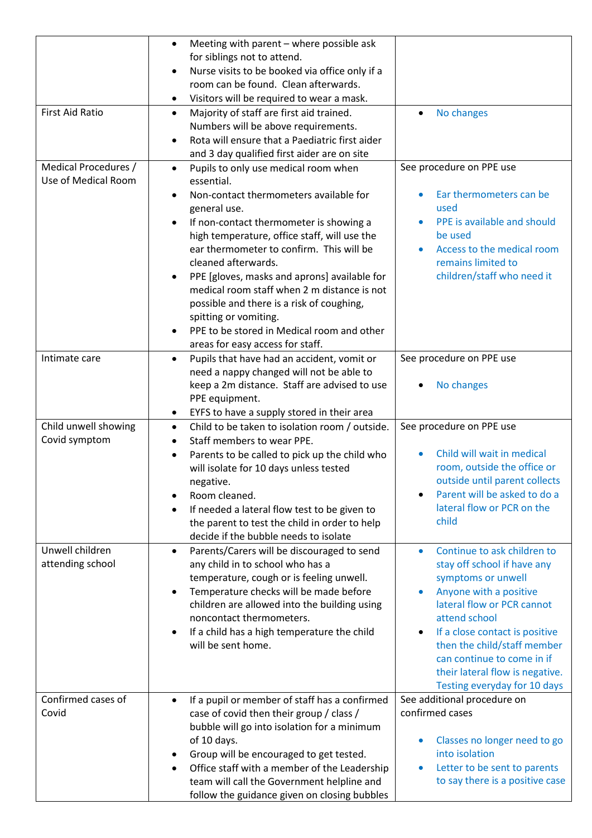|                                             | Meeting with parent - where possible ask<br>٠<br>for siblings not to attend.<br>Nurse visits to be booked via office only if a                                                                                                                                                                                                                                                                                                                                                                                                                                                        |                                                                                                                                                                                                                                                                                                                                                                    |
|---------------------------------------------|---------------------------------------------------------------------------------------------------------------------------------------------------------------------------------------------------------------------------------------------------------------------------------------------------------------------------------------------------------------------------------------------------------------------------------------------------------------------------------------------------------------------------------------------------------------------------------------|--------------------------------------------------------------------------------------------------------------------------------------------------------------------------------------------------------------------------------------------------------------------------------------------------------------------------------------------------------------------|
|                                             | room can be found. Clean afterwards.<br>Visitors will be required to wear a mask.<br>$\bullet$                                                                                                                                                                                                                                                                                                                                                                                                                                                                                        |                                                                                                                                                                                                                                                                                                                                                                    |
| <b>First Aid Ratio</b>                      | Majority of staff are first aid trained.<br>$\bullet$<br>Numbers will be above requirements.<br>Rota will ensure that a Paediatric first aider<br>$\bullet$<br>and 3 day qualified first aider are on site                                                                                                                                                                                                                                                                                                                                                                            | No changes<br>$\bullet$                                                                                                                                                                                                                                                                                                                                            |
| Medical Procedures /<br>Use of Medical Room | Pupils to only use medical room when<br>$\bullet$<br>essential.<br>Non-contact thermometers available for<br>$\bullet$<br>general use.<br>If non-contact thermometer is showing a<br>$\bullet$<br>high temperature, office staff, will use the<br>ear thermometer to confirm. This will be<br>cleaned afterwards.<br>PPE [gloves, masks and aprons] available for<br>medical room staff when 2 m distance is not<br>possible and there is a risk of coughing,<br>spitting or vomiting.<br>PPE to be stored in Medical room and other<br>$\bullet$<br>areas for easy access for staff. | See procedure on PPE use<br>Ear thermometers can be<br>used<br>PPE is available and should<br>be used<br>Access to the medical room<br>$\bullet$<br>remains limited to<br>children/staff who need it                                                                                                                                                               |
| Intimate care                               | Pupils that have had an accident, vomit or<br>$\bullet$<br>need a nappy changed will not be able to<br>keep a 2m distance. Staff are advised to use<br>PPE equipment.<br>EYFS to have a supply stored in their area<br>٠                                                                                                                                                                                                                                                                                                                                                              | See procedure on PPE use<br>No changes                                                                                                                                                                                                                                                                                                                             |
| Child unwell showing<br>Covid symptom       | Child to be taken to isolation room / outside.<br>$\bullet$<br>Staff members to wear PPE.<br>$\bullet$<br>Parents to be called to pick up the child who<br>$\bullet$<br>will isolate for 10 days unless tested<br>negative.<br>Room cleaned.                                                                                                                                                                                                                                                                                                                                          | See procedure on PPE use<br>Child will wait in medical<br>room, outside the office or<br>outside until parent collects<br>Parent will be asked to do a                                                                                                                                                                                                             |
|                                             | If needed a lateral flow test to be given to<br>the parent to test the child in order to help                                                                                                                                                                                                                                                                                                                                                                                                                                                                                         | lateral flow or PCR on the<br>child                                                                                                                                                                                                                                                                                                                                |
| Unwell children<br>attending school         | decide if the bubble needs to isolate<br>Parents/Carers will be discouraged to send<br>$\bullet$<br>any child in to school who has a<br>temperature, cough or is feeling unwell.<br>Temperature checks will be made before<br>children are allowed into the building using<br>noncontact thermometers.<br>If a child has a high temperature the child<br>$\bullet$<br>will be sent home.                                                                                                                                                                                              | Continue to ask children to<br>$\bullet$<br>stay off school if have any<br>symptoms or unwell<br>Anyone with a positive<br>$\bullet$<br>lateral flow or PCR cannot<br>attend school<br>If a close contact is positive<br>$\bullet$<br>then the child/staff member<br>can continue to come in if<br>their lateral flow is negative.<br>Testing everyday for 10 days |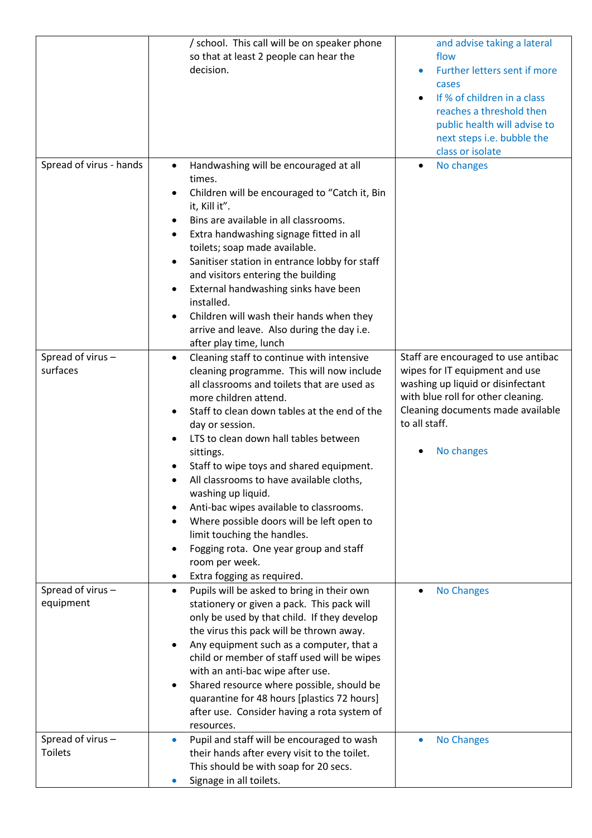|                                    | / school. This call will be on speaker phone<br>so that at least 2 people can hear the<br>decision.                                                                                                                                                                                                                                                                                                                                                                                                                                                                                                                                                                  | and advise taking a lateral<br>flow<br>Further letters sent if more<br>cases<br>If % of children in a class<br>reaches a threshold then<br>public health will advise to<br>next steps i.e. bubble the<br>class or isolate |
|------------------------------------|----------------------------------------------------------------------------------------------------------------------------------------------------------------------------------------------------------------------------------------------------------------------------------------------------------------------------------------------------------------------------------------------------------------------------------------------------------------------------------------------------------------------------------------------------------------------------------------------------------------------------------------------------------------------|---------------------------------------------------------------------------------------------------------------------------------------------------------------------------------------------------------------------------|
| Spread of virus - hands            | Handwashing will be encouraged at all<br>$\bullet$<br>times.<br>Children will be encouraged to "Catch it, Bin<br>$\bullet$<br>it, Kill it".<br>Bins are available in all classrooms.<br>٠<br>Extra handwashing signage fitted in all<br>٠<br>toilets; soap made available.<br>Sanitiser station in entrance lobby for staff<br>٠<br>and visitors entering the building<br>External handwashing sinks have been<br>$\bullet$<br>installed.<br>Children will wash their hands when they<br>$\bullet$<br>arrive and leave. Also during the day i.e.<br>after play time, lunch                                                                                           | No changes                                                                                                                                                                                                                |
| Spread of virus-<br>surfaces       | Cleaning staff to continue with intensive<br>$\bullet$<br>cleaning programme. This will now include<br>all classrooms and toilets that are used as<br>more children attend.<br>Staff to clean down tables at the end of the<br>$\bullet$<br>day or session.<br>LTS to clean down hall tables between<br>sittings.<br>Staff to wipe toys and shared equipment.<br>All classrooms to have available cloths,<br>washing up liquid.<br>Anti-bac wipes available to classrooms.<br>٠<br>Where possible doors will be left open to<br>٠<br>limit touching the handles.<br>Fogging rota. One year group and staff<br>٠<br>room per week.<br>Extra fogging as required.<br>٠ | Staff are encouraged to use antibac<br>wipes for IT equipment and use<br>washing up liquid or disinfectant<br>with blue roll for other cleaning.<br>Cleaning documents made available<br>to all staff.<br>No changes      |
| Spread of virus-<br>equipment      | Pupils will be asked to bring in their own<br>$\bullet$<br>stationery or given a pack. This pack will<br>only be used by that child. If they develop<br>the virus this pack will be thrown away.<br>Any equipment such as a computer, that a<br>$\bullet$<br>child or member of staff used will be wipes<br>with an anti-bac wipe after use.<br>Shared resource where possible, should be<br>٠<br>quarantine for 48 hours [plastics 72 hours]<br>after use. Consider having a rota system of<br>resources.                                                                                                                                                           | <b>No Changes</b>                                                                                                                                                                                                         |
| Spread of virus-<br><b>Toilets</b> | Pupil and staff will be encouraged to wash<br>$\bullet$<br>their hands after every visit to the toilet.<br>This should be with soap for 20 secs.<br>Signage in all toilets.                                                                                                                                                                                                                                                                                                                                                                                                                                                                                          | <b>No Changes</b>                                                                                                                                                                                                         |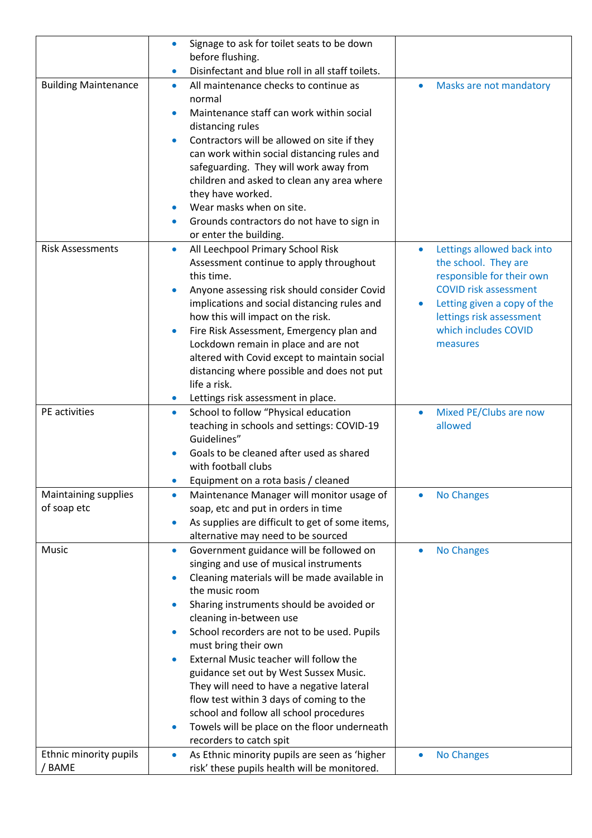| Disinfectant and blue roll in all staff toilets.<br>$\bullet$<br><b>Building Maintenance</b><br>All maintenance checks to continue as<br>Masks are not mandatory<br>$\bullet$<br>$\bullet$<br>normal<br>Maintenance staff can work within social<br>$\bullet$<br>distancing rules<br>Contractors will be allowed on site if they<br>$\bullet$<br>can work within social distancing rules and<br>safeguarding. They will work away from<br>children and asked to clean any area where<br>they have worked.<br>Wear masks when on site.<br>$\bullet$<br>Grounds contractors do not have to sign in<br>$\bullet$<br>or enter the building.<br><b>Risk Assessments</b><br>All Leechpool Primary School Risk<br>Lettings allowed back into<br>$\bullet$<br>$\bullet$<br>the school. They are<br>Assessment continue to apply throughout<br>this time.<br>responsible for their own<br><b>COVID risk assessment</b><br>Anyone assessing risk should consider Covid<br>$\bullet$<br>implications and social distancing rules and<br>Letting given a copy of the<br>how this will impact on the risk.<br>lettings risk assessment<br>which includes COVID<br>Fire Risk Assessment, Emergency plan and<br>$\bullet$<br>Lockdown remain in place and are not<br>measures<br>altered with Covid except to maintain social<br>distancing where possible and does not put<br>life a risk.<br>Lettings risk assessment in place.<br>$\bullet$<br>PE activities<br>School to follow "Physical education<br>Mixed PE/Clubs are now<br>$\bullet$<br>$\bullet$<br>teaching in schools and settings: COVID-19<br>allowed<br>Guidelines"<br>Goals to be cleaned after used as shared<br>with football clubs<br>Equipment on a rota basis / cleaned<br>Maintaining supplies<br>Maintenance Manager will monitor usage of<br><b>No Changes</b><br>$\bullet$<br>of soap etc<br>soap, etc and put in orders in time<br>As supplies are difficult to get of some items,<br>$\bullet$<br>alternative may need to be sourced<br>Music<br>Government guidance will be followed on<br><b>No Changes</b><br>$\bullet$<br>singing and use of musical instruments<br>Cleaning materials will be made available in<br>the music room<br>Sharing instruments should be avoided or<br>$\bullet$<br>cleaning in-between use<br>School recorders are not to be used. Pupils<br>$\bullet$<br>must bring their own<br>External Music teacher will follow the<br>$\bullet$<br>guidance set out by West Sussex Music.<br>They will need to have a negative lateral<br>flow test within 3 days of coming to the<br>school and follow all school procedures<br>Towels will be place on the floor underneath<br>$\bullet$<br>recorders to catch spit<br>Ethnic minority pupils<br>As Ethnic minority pupils are seen as 'higher<br><b>No Changes</b><br>$\bullet$<br>/ BAME<br>risk' these pupils health will be monitored. | Signage to ask for toilet seats to be down<br>$\bullet$ |  |
|---------------------------------------------------------------------------------------------------------------------------------------------------------------------------------------------------------------------------------------------------------------------------------------------------------------------------------------------------------------------------------------------------------------------------------------------------------------------------------------------------------------------------------------------------------------------------------------------------------------------------------------------------------------------------------------------------------------------------------------------------------------------------------------------------------------------------------------------------------------------------------------------------------------------------------------------------------------------------------------------------------------------------------------------------------------------------------------------------------------------------------------------------------------------------------------------------------------------------------------------------------------------------------------------------------------------------------------------------------------------------------------------------------------------------------------------------------------------------------------------------------------------------------------------------------------------------------------------------------------------------------------------------------------------------------------------------------------------------------------------------------------------------------------------------------------------------------------------------------------------------------------------------------------------------------------------------------------------------------------------------------------------------------------------------------------------------------------------------------------------------------------------------------------------------------------------------------------------------------------------------------------------------------------------------------------------------------------------------------------------------------------------------------------------------------------------------------------------------------------------------------------------------------------------------------------------------------------------------------------------------------------------------------------------------------------------------------------------------------------------------------------------------------------------------------------------------------------------------------------------------------|---------------------------------------------------------|--|
|                                                                                                                                                                                                                                                                                                                                                                                                                                                                                                                                                                                                                                                                                                                                                                                                                                                                                                                                                                                                                                                                                                                                                                                                                                                                                                                                                                                                                                                                                                                                                                                                                                                                                                                                                                                                                                                                                                                                                                                                                                                                                                                                                                                                                                                                                                                                                                                                                                                                                                                                                                                                                                                                                                                                                                                                                                                                                 | before flushing.                                        |  |
|                                                                                                                                                                                                                                                                                                                                                                                                                                                                                                                                                                                                                                                                                                                                                                                                                                                                                                                                                                                                                                                                                                                                                                                                                                                                                                                                                                                                                                                                                                                                                                                                                                                                                                                                                                                                                                                                                                                                                                                                                                                                                                                                                                                                                                                                                                                                                                                                                                                                                                                                                                                                                                                                                                                                                                                                                                                                                 |                                                         |  |
|                                                                                                                                                                                                                                                                                                                                                                                                                                                                                                                                                                                                                                                                                                                                                                                                                                                                                                                                                                                                                                                                                                                                                                                                                                                                                                                                                                                                                                                                                                                                                                                                                                                                                                                                                                                                                                                                                                                                                                                                                                                                                                                                                                                                                                                                                                                                                                                                                                                                                                                                                                                                                                                                                                                                                                                                                                                                                 |                                                         |  |
|                                                                                                                                                                                                                                                                                                                                                                                                                                                                                                                                                                                                                                                                                                                                                                                                                                                                                                                                                                                                                                                                                                                                                                                                                                                                                                                                                                                                                                                                                                                                                                                                                                                                                                                                                                                                                                                                                                                                                                                                                                                                                                                                                                                                                                                                                                                                                                                                                                                                                                                                                                                                                                                                                                                                                                                                                                                                                 |                                                         |  |
|                                                                                                                                                                                                                                                                                                                                                                                                                                                                                                                                                                                                                                                                                                                                                                                                                                                                                                                                                                                                                                                                                                                                                                                                                                                                                                                                                                                                                                                                                                                                                                                                                                                                                                                                                                                                                                                                                                                                                                                                                                                                                                                                                                                                                                                                                                                                                                                                                                                                                                                                                                                                                                                                                                                                                                                                                                                                                 |                                                         |  |
|                                                                                                                                                                                                                                                                                                                                                                                                                                                                                                                                                                                                                                                                                                                                                                                                                                                                                                                                                                                                                                                                                                                                                                                                                                                                                                                                                                                                                                                                                                                                                                                                                                                                                                                                                                                                                                                                                                                                                                                                                                                                                                                                                                                                                                                                                                                                                                                                                                                                                                                                                                                                                                                                                                                                                                                                                                                                                 |                                                         |  |
|                                                                                                                                                                                                                                                                                                                                                                                                                                                                                                                                                                                                                                                                                                                                                                                                                                                                                                                                                                                                                                                                                                                                                                                                                                                                                                                                                                                                                                                                                                                                                                                                                                                                                                                                                                                                                                                                                                                                                                                                                                                                                                                                                                                                                                                                                                                                                                                                                                                                                                                                                                                                                                                                                                                                                                                                                                                                                 |                                                         |  |
|                                                                                                                                                                                                                                                                                                                                                                                                                                                                                                                                                                                                                                                                                                                                                                                                                                                                                                                                                                                                                                                                                                                                                                                                                                                                                                                                                                                                                                                                                                                                                                                                                                                                                                                                                                                                                                                                                                                                                                                                                                                                                                                                                                                                                                                                                                                                                                                                                                                                                                                                                                                                                                                                                                                                                                                                                                                                                 |                                                         |  |
|                                                                                                                                                                                                                                                                                                                                                                                                                                                                                                                                                                                                                                                                                                                                                                                                                                                                                                                                                                                                                                                                                                                                                                                                                                                                                                                                                                                                                                                                                                                                                                                                                                                                                                                                                                                                                                                                                                                                                                                                                                                                                                                                                                                                                                                                                                                                                                                                                                                                                                                                                                                                                                                                                                                                                                                                                                                                                 |                                                         |  |
|                                                                                                                                                                                                                                                                                                                                                                                                                                                                                                                                                                                                                                                                                                                                                                                                                                                                                                                                                                                                                                                                                                                                                                                                                                                                                                                                                                                                                                                                                                                                                                                                                                                                                                                                                                                                                                                                                                                                                                                                                                                                                                                                                                                                                                                                                                                                                                                                                                                                                                                                                                                                                                                                                                                                                                                                                                                                                 |                                                         |  |
|                                                                                                                                                                                                                                                                                                                                                                                                                                                                                                                                                                                                                                                                                                                                                                                                                                                                                                                                                                                                                                                                                                                                                                                                                                                                                                                                                                                                                                                                                                                                                                                                                                                                                                                                                                                                                                                                                                                                                                                                                                                                                                                                                                                                                                                                                                                                                                                                                                                                                                                                                                                                                                                                                                                                                                                                                                                                                 |                                                         |  |
|                                                                                                                                                                                                                                                                                                                                                                                                                                                                                                                                                                                                                                                                                                                                                                                                                                                                                                                                                                                                                                                                                                                                                                                                                                                                                                                                                                                                                                                                                                                                                                                                                                                                                                                                                                                                                                                                                                                                                                                                                                                                                                                                                                                                                                                                                                                                                                                                                                                                                                                                                                                                                                                                                                                                                                                                                                                                                 |                                                         |  |
|                                                                                                                                                                                                                                                                                                                                                                                                                                                                                                                                                                                                                                                                                                                                                                                                                                                                                                                                                                                                                                                                                                                                                                                                                                                                                                                                                                                                                                                                                                                                                                                                                                                                                                                                                                                                                                                                                                                                                                                                                                                                                                                                                                                                                                                                                                                                                                                                                                                                                                                                                                                                                                                                                                                                                                                                                                                                                 |                                                         |  |
|                                                                                                                                                                                                                                                                                                                                                                                                                                                                                                                                                                                                                                                                                                                                                                                                                                                                                                                                                                                                                                                                                                                                                                                                                                                                                                                                                                                                                                                                                                                                                                                                                                                                                                                                                                                                                                                                                                                                                                                                                                                                                                                                                                                                                                                                                                                                                                                                                                                                                                                                                                                                                                                                                                                                                                                                                                                                                 |                                                         |  |
|                                                                                                                                                                                                                                                                                                                                                                                                                                                                                                                                                                                                                                                                                                                                                                                                                                                                                                                                                                                                                                                                                                                                                                                                                                                                                                                                                                                                                                                                                                                                                                                                                                                                                                                                                                                                                                                                                                                                                                                                                                                                                                                                                                                                                                                                                                                                                                                                                                                                                                                                                                                                                                                                                                                                                                                                                                                                                 |                                                         |  |
|                                                                                                                                                                                                                                                                                                                                                                                                                                                                                                                                                                                                                                                                                                                                                                                                                                                                                                                                                                                                                                                                                                                                                                                                                                                                                                                                                                                                                                                                                                                                                                                                                                                                                                                                                                                                                                                                                                                                                                                                                                                                                                                                                                                                                                                                                                                                                                                                                                                                                                                                                                                                                                                                                                                                                                                                                                                                                 |                                                         |  |
|                                                                                                                                                                                                                                                                                                                                                                                                                                                                                                                                                                                                                                                                                                                                                                                                                                                                                                                                                                                                                                                                                                                                                                                                                                                                                                                                                                                                                                                                                                                                                                                                                                                                                                                                                                                                                                                                                                                                                                                                                                                                                                                                                                                                                                                                                                                                                                                                                                                                                                                                                                                                                                                                                                                                                                                                                                                                                 |                                                         |  |
|                                                                                                                                                                                                                                                                                                                                                                                                                                                                                                                                                                                                                                                                                                                                                                                                                                                                                                                                                                                                                                                                                                                                                                                                                                                                                                                                                                                                                                                                                                                                                                                                                                                                                                                                                                                                                                                                                                                                                                                                                                                                                                                                                                                                                                                                                                                                                                                                                                                                                                                                                                                                                                                                                                                                                                                                                                                                                 |                                                         |  |
|                                                                                                                                                                                                                                                                                                                                                                                                                                                                                                                                                                                                                                                                                                                                                                                                                                                                                                                                                                                                                                                                                                                                                                                                                                                                                                                                                                                                                                                                                                                                                                                                                                                                                                                                                                                                                                                                                                                                                                                                                                                                                                                                                                                                                                                                                                                                                                                                                                                                                                                                                                                                                                                                                                                                                                                                                                                                                 |                                                         |  |
|                                                                                                                                                                                                                                                                                                                                                                                                                                                                                                                                                                                                                                                                                                                                                                                                                                                                                                                                                                                                                                                                                                                                                                                                                                                                                                                                                                                                                                                                                                                                                                                                                                                                                                                                                                                                                                                                                                                                                                                                                                                                                                                                                                                                                                                                                                                                                                                                                                                                                                                                                                                                                                                                                                                                                                                                                                                                                 |                                                         |  |
|                                                                                                                                                                                                                                                                                                                                                                                                                                                                                                                                                                                                                                                                                                                                                                                                                                                                                                                                                                                                                                                                                                                                                                                                                                                                                                                                                                                                                                                                                                                                                                                                                                                                                                                                                                                                                                                                                                                                                                                                                                                                                                                                                                                                                                                                                                                                                                                                                                                                                                                                                                                                                                                                                                                                                                                                                                                                                 |                                                         |  |
|                                                                                                                                                                                                                                                                                                                                                                                                                                                                                                                                                                                                                                                                                                                                                                                                                                                                                                                                                                                                                                                                                                                                                                                                                                                                                                                                                                                                                                                                                                                                                                                                                                                                                                                                                                                                                                                                                                                                                                                                                                                                                                                                                                                                                                                                                                                                                                                                                                                                                                                                                                                                                                                                                                                                                                                                                                                                                 |                                                         |  |
|                                                                                                                                                                                                                                                                                                                                                                                                                                                                                                                                                                                                                                                                                                                                                                                                                                                                                                                                                                                                                                                                                                                                                                                                                                                                                                                                                                                                                                                                                                                                                                                                                                                                                                                                                                                                                                                                                                                                                                                                                                                                                                                                                                                                                                                                                                                                                                                                                                                                                                                                                                                                                                                                                                                                                                                                                                                                                 |                                                         |  |
|                                                                                                                                                                                                                                                                                                                                                                                                                                                                                                                                                                                                                                                                                                                                                                                                                                                                                                                                                                                                                                                                                                                                                                                                                                                                                                                                                                                                                                                                                                                                                                                                                                                                                                                                                                                                                                                                                                                                                                                                                                                                                                                                                                                                                                                                                                                                                                                                                                                                                                                                                                                                                                                                                                                                                                                                                                                                                 |                                                         |  |
|                                                                                                                                                                                                                                                                                                                                                                                                                                                                                                                                                                                                                                                                                                                                                                                                                                                                                                                                                                                                                                                                                                                                                                                                                                                                                                                                                                                                                                                                                                                                                                                                                                                                                                                                                                                                                                                                                                                                                                                                                                                                                                                                                                                                                                                                                                                                                                                                                                                                                                                                                                                                                                                                                                                                                                                                                                                                                 |                                                         |  |
|                                                                                                                                                                                                                                                                                                                                                                                                                                                                                                                                                                                                                                                                                                                                                                                                                                                                                                                                                                                                                                                                                                                                                                                                                                                                                                                                                                                                                                                                                                                                                                                                                                                                                                                                                                                                                                                                                                                                                                                                                                                                                                                                                                                                                                                                                                                                                                                                                                                                                                                                                                                                                                                                                                                                                                                                                                                                                 |                                                         |  |
|                                                                                                                                                                                                                                                                                                                                                                                                                                                                                                                                                                                                                                                                                                                                                                                                                                                                                                                                                                                                                                                                                                                                                                                                                                                                                                                                                                                                                                                                                                                                                                                                                                                                                                                                                                                                                                                                                                                                                                                                                                                                                                                                                                                                                                                                                                                                                                                                                                                                                                                                                                                                                                                                                                                                                                                                                                                                                 |                                                         |  |
|                                                                                                                                                                                                                                                                                                                                                                                                                                                                                                                                                                                                                                                                                                                                                                                                                                                                                                                                                                                                                                                                                                                                                                                                                                                                                                                                                                                                                                                                                                                                                                                                                                                                                                                                                                                                                                                                                                                                                                                                                                                                                                                                                                                                                                                                                                                                                                                                                                                                                                                                                                                                                                                                                                                                                                                                                                                                                 |                                                         |  |
|                                                                                                                                                                                                                                                                                                                                                                                                                                                                                                                                                                                                                                                                                                                                                                                                                                                                                                                                                                                                                                                                                                                                                                                                                                                                                                                                                                                                                                                                                                                                                                                                                                                                                                                                                                                                                                                                                                                                                                                                                                                                                                                                                                                                                                                                                                                                                                                                                                                                                                                                                                                                                                                                                                                                                                                                                                                                                 |                                                         |  |
|                                                                                                                                                                                                                                                                                                                                                                                                                                                                                                                                                                                                                                                                                                                                                                                                                                                                                                                                                                                                                                                                                                                                                                                                                                                                                                                                                                                                                                                                                                                                                                                                                                                                                                                                                                                                                                                                                                                                                                                                                                                                                                                                                                                                                                                                                                                                                                                                                                                                                                                                                                                                                                                                                                                                                                                                                                                                                 |                                                         |  |
|                                                                                                                                                                                                                                                                                                                                                                                                                                                                                                                                                                                                                                                                                                                                                                                                                                                                                                                                                                                                                                                                                                                                                                                                                                                                                                                                                                                                                                                                                                                                                                                                                                                                                                                                                                                                                                                                                                                                                                                                                                                                                                                                                                                                                                                                                                                                                                                                                                                                                                                                                                                                                                                                                                                                                                                                                                                                                 |                                                         |  |
|                                                                                                                                                                                                                                                                                                                                                                                                                                                                                                                                                                                                                                                                                                                                                                                                                                                                                                                                                                                                                                                                                                                                                                                                                                                                                                                                                                                                                                                                                                                                                                                                                                                                                                                                                                                                                                                                                                                                                                                                                                                                                                                                                                                                                                                                                                                                                                                                                                                                                                                                                                                                                                                                                                                                                                                                                                                                                 |                                                         |  |
|                                                                                                                                                                                                                                                                                                                                                                                                                                                                                                                                                                                                                                                                                                                                                                                                                                                                                                                                                                                                                                                                                                                                                                                                                                                                                                                                                                                                                                                                                                                                                                                                                                                                                                                                                                                                                                                                                                                                                                                                                                                                                                                                                                                                                                                                                                                                                                                                                                                                                                                                                                                                                                                                                                                                                                                                                                                                                 |                                                         |  |
|                                                                                                                                                                                                                                                                                                                                                                                                                                                                                                                                                                                                                                                                                                                                                                                                                                                                                                                                                                                                                                                                                                                                                                                                                                                                                                                                                                                                                                                                                                                                                                                                                                                                                                                                                                                                                                                                                                                                                                                                                                                                                                                                                                                                                                                                                                                                                                                                                                                                                                                                                                                                                                                                                                                                                                                                                                                                                 |                                                         |  |
|                                                                                                                                                                                                                                                                                                                                                                                                                                                                                                                                                                                                                                                                                                                                                                                                                                                                                                                                                                                                                                                                                                                                                                                                                                                                                                                                                                                                                                                                                                                                                                                                                                                                                                                                                                                                                                                                                                                                                                                                                                                                                                                                                                                                                                                                                                                                                                                                                                                                                                                                                                                                                                                                                                                                                                                                                                                                                 |                                                         |  |
|                                                                                                                                                                                                                                                                                                                                                                                                                                                                                                                                                                                                                                                                                                                                                                                                                                                                                                                                                                                                                                                                                                                                                                                                                                                                                                                                                                                                                                                                                                                                                                                                                                                                                                                                                                                                                                                                                                                                                                                                                                                                                                                                                                                                                                                                                                                                                                                                                                                                                                                                                                                                                                                                                                                                                                                                                                                                                 |                                                         |  |
|                                                                                                                                                                                                                                                                                                                                                                                                                                                                                                                                                                                                                                                                                                                                                                                                                                                                                                                                                                                                                                                                                                                                                                                                                                                                                                                                                                                                                                                                                                                                                                                                                                                                                                                                                                                                                                                                                                                                                                                                                                                                                                                                                                                                                                                                                                                                                                                                                                                                                                                                                                                                                                                                                                                                                                                                                                                                                 |                                                         |  |
|                                                                                                                                                                                                                                                                                                                                                                                                                                                                                                                                                                                                                                                                                                                                                                                                                                                                                                                                                                                                                                                                                                                                                                                                                                                                                                                                                                                                                                                                                                                                                                                                                                                                                                                                                                                                                                                                                                                                                                                                                                                                                                                                                                                                                                                                                                                                                                                                                                                                                                                                                                                                                                                                                                                                                                                                                                                                                 |                                                         |  |
|                                                                                                                                                                                                                                                                                                                                                                                                                                                                                                                                                                                                                                                                                                                                                                                                                                                                                                                                                                                                                                                                                                                                                                                                                                                                                                                                                                                                                                                                                                                                                                                                                                                                                                                                                                                                                                                                                                                                                                                                                                                                                                                                                                                                                                                                                                                                                                                                                                                                                                                                                                                                                                                                                                                                                                                                                                                                                 |                                                         |  |
|                                                                                                                                                                                                                                                                                                                                                                                                                                                                                                                                                                                                                                                                                                                                                                                                                                                                                                                                                                                                                                                                                                                                                                                                                                                                                                                                                                                                                                                                                                                                                                                                                                                                                                                                                                                                                                                                                                                                                                                                                                                                                                                                                                                                                                                                                                                                                                                                                                                                                                                                                                                                                                                                                                                                                                                                                                                                                 |                                                         |  |
|                                                                                                                                                                                                                                                                                                                                                                                                                                                                                                                                                                                                                                                                                                                                                                                                                                                                                                                                                                                                                                                                                                                                                                                                                                                                                                                                                                                                                                                                                                                                                                                                                                                                                                                                                                                                                                                                                                                                                                                                                                                                                                                                                                                                                                                                                                                                                                                                                                                                                                                                                                                                                                                                                                                                                                                                                                                                                 |                                                         |  |
|                                                                                                                                                                                                                                                                                                                                                                                                                                                                                                                                                                                                                                                                                                                                                                                                                                                                                                                                                                                                                                                                                                                                                                                                                                                                                                                                                                                                                                                                                                                                                                                                                                                                                                                                                                                                                                                                                                                                                                                                                                                                                                                                                                                                                                                                                                                                                                                                                                                                                                                                                                                                                                                                                                                                                                                                                                                                                 |                                                         |  |
|                                                                                                                                                                                                                                                                                                                                                                                                                                                                                                                                                                                                                                                                                                                                                                                                                                                                                                                                                                                                                                                                                                                                                                                                                                                                                                                                                                                                                                                                                                                                                                                                                                                                                                                                                                                                                                                                                                                                                                                                                                                                                                                                                                                                                                                                                                                                                                                                                                                                                                                                                                                                                                                                                                                                                                                                                                                                                 |                                                         |  |
|                                                                                                                                                                                                                                                                                                                                                                                                                                                                                                                                                                                                                                                                                                                                                                                                                                                                                                                                                                                                                                                                                                                                                                                                                                                                                                                                                                                                                                                                                                                                                                                                                                                                                                                                                                                                                                                                                                                                                                                                                                                                                                                                                                                                                                                                                                                                                                                                                                                                                                                                                                                                                                                                                                                                                                                                                                                                                 |                                                         |  |
|                                                                                                                                                                                                                                                                                                                                                                                                                                                                                                                                                                                                                                                                                                                                                                                                                                                                                                                                                                                                                                                                                                                                                                                                                                                                                                                                                                                                                                                                                                                                                                                                                                                                                                                                                                                                                                                                                                                                                                                                                                                                                                                                                                                                                                                                                                                                                                                                                                                                                                                                                                                                                                                                                                                                                                                                                                                                                 |                                                         |  |
|                                                                                                                                                                                                                                                                                                                                                                                                                                                                                                                                                                                                                                                                                                                                                                                                                                                                                                                                                                                                                                                                                                                                                                                                                                                                                                                                                                                                                                                                                                                                                                                                                                                                                                                                                                                                                                                                                                                                                                                                                                                                                                                                                                                                                                                                                                                                                                                                                                                                                                                                                                                                                                                                                                                                                                                                                                                                                 |                                                         |  |
|                                                                                                                                                                                                                                                                                                                                                                                                                                                                                                                                                                                                                                                                                                                                                                                                                                                                                                                                                                                                                                                                                                                                                                                                                                                                                                                                                                                                                                                                                                                                                                                                                                                                                                                                                                                                                                                                                                                                                                                                                                                                                                                                                                                                                                                                                                                                                                                                                                                                                                                                                                                                                                                                                                                                                                                                                                                                                 |                                                         |  |
|                                                                                                                                                                                                                                                                                                                                                                                                                                                                                                                                                                                                                                                                                                                                                                                                                                                                                                                                                                                                                                                                                                                                                                                                                                                                                                                                                                                                                                                                                                                                                                                                                                                                                                                                                                                                                                                                                                                                                                                                                                                                                                                                                                                                                                                                                                                                                                                                                                                                                                                                                                                                                                                                                                                                                                                                                                                                                 |                                                         |  |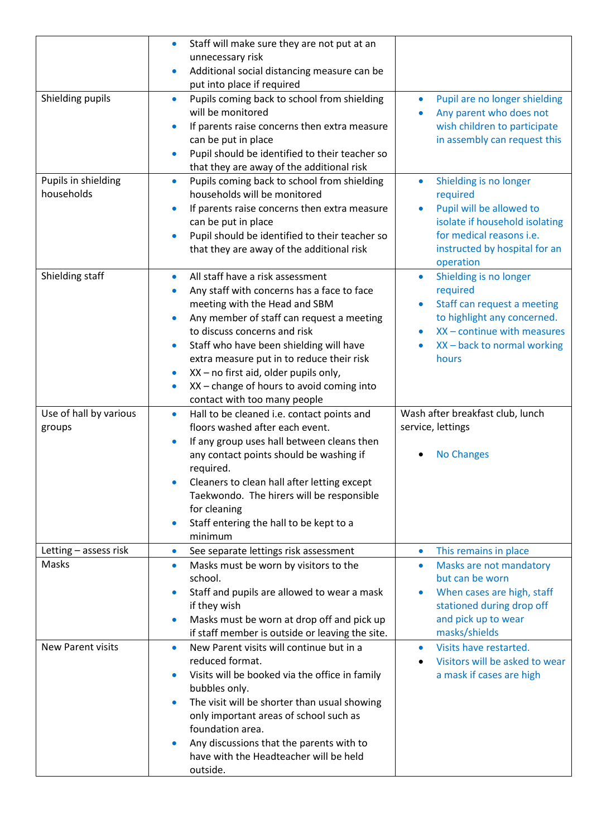|                          | Staff will make sure they are not put at an<br>$\bullet$                               |                                                            |
|--------------------------|----------------------------------------------------------------------------------------|------------------------------------------------------------|
|                          | unnecessary risk                                                                       |                                                            |
|                          | Additional social distancing measure can be<br>$\bullet$                               |                                                            |
|                          | put into place if required                                                             |                                                            |
| Shielding pupils         | Pupils coming back to school from shielding<br>$\bullet$                               | Pupil are no longer shielding<br>۰                         |
|                          | will be monitored                                                                      | Any parent who does not                                    |
|                          | If parents raise concerns then extra measure<br>$\bullet$                              | wish children to participate                               |
|                          | can be put in place                                                                    | in assembly can request this                               |
|                          | Pupil should be identified to their teacher so<br>$\bullet$                            |                                                            |
|                          | that they are away of the additional risk                                              |                                                            |
| Pupils in shielding      | Pupils coming back to school from shielding<br>$\bullet$                               | Shielding is no longer<br>$\bullet$                        |
| households               | households will be monitored                                                           | required                                                   |
|                          | If parents raise concerns then extra measure<br>$\bullet$                              | Pupil will be allowed to<br>isolate if household isolating |
|                          | can be put in place<br>Pupil should be identified to their teacher so<br>$\bullet$     | for medical reasons i.e.                                   |
|                          | that they are away of the additional risk                                              | instructed by hospital for an                              |
|                          |                                                                                        | operation                                                  |
| Shielding staff          | All staff have a risk assessment<br>$\bullet$                                          | Shielding is no longer<br>$\bullet$                        |
|                          | Any staff with concerns has a face to face                                             | required                                                   |
|                          | meeting with the Head and SBM                                                          | Staff can request a meeting                                |
|                          | Any member of staff can request a meeting<br>$\bullet$                                 | to highlight any concerned.                                |
|                          | to discuss concerns and risk                                                           | $XX$ – continue with measures<br>$\bullet$                 |
|                          | Staff who have been shielding will have<br>$\bullet$                                   | XX - back to normal working                                |
|                          | extra measure put in to reduce their risk                                              | hours                                                      |
|                          | XX - no first aid, older pupils only,<br>$\bullet$                                     |                                                            |
|                          | XX - change of hours to avoid coming into<br>$\bullet$                                 |                                                            |
|                          | contact with too many people                                                           |                                                            |
|                          |                                                                                        |                                                            |
| Use of hall by various   | Hall to be cleaned i.e. contact points and<br>$\bullet$                                | Wash after breakfast club, lunch                           |
| groups                   | floors washed after each event.                                                        | service, lettings                                          |
|                          | If any group uses hall between cleans then<br>$\bullet$                                |                                                            |
|                          | any contact points should be washing if                                                | <b>No Changes</b>                                          |
|                          | required.                                                                              |                                                            |
|                          | Cleaners to clean hall after letting except                                            |                                                            |
|                          | Taekwondo. The hirers will be responsible                                              |                                                            |
|                          | for cleaning                                                                           |                                                            |
|                          | Staff entering the hall to be kept to a<br>$\bullet$                                   |                                                            |
|                          | minimum                                                                                |                                                            |
| Letting - assess risk    | See separate lettings risk assessment<br>$\bullet$                                     | This remains in place<br>۰                                 |
| Masks                    | Masks must be worn by visitors to the<br>$\bullet$                                     | Masks are not mandatory<br>$\bullet$                       |
|                          | school.                                                                                | but can be worn                                            |
|                          | Staff and pupils are allowed to wear a mask<br>$\bullet$                               | When cases are high, staff<br>۰                            |
|                          | if they wish                                                                           | stationed during drop off                                  |
|                          | Masks must be worn at drop off and pick up<br>$\bullet$                                | and pick up to wear                                        |
|                          | if staff member is outside or leaving the site.                                        | masks/shields                                              |
| <b>New Parent visits</b> | New Parent visits will continue but in a<br>$\bullet$                                  | Visits have restarted.<br>$\bullet$                        |
|                          | reduced format.<br>$\bullet$                                                           | Visitors will be asked to wear                             |
|                          | Visits will be booked via the office in family                                         | a mask if cases are high                                   |
|                          | bubbles only.<br>$\bullet$                                                             |                                                            |
|                          | The visit will be shorter than usual showing<br>only important areas of school such as |                                                            |
|                          | foundation area.                                                                       |                                                            |
|                          | Any discussions that the parents with to<br>$\bullet$                                  |                                                            |
|                          | have with the Headteacher will be held                                                 |                                                            |